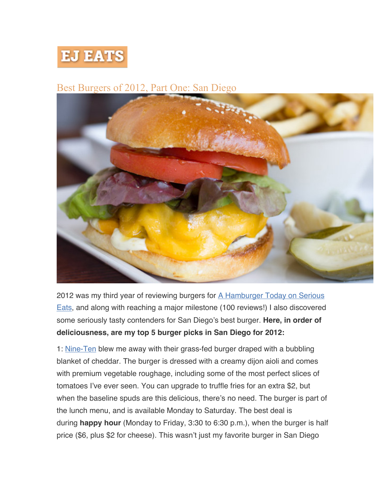

## Best Burgers of 2012, Part One: San Diego



2012 was my third year of reviewing burgers for A Hamburger Today on Serious Eats, and along with reaching a major milestone (100 reviews!) I also discovered some seriously tasty contenders for San Diego's best burger. **Here, in order of deliciousness, are my top 5 burger picks in San Diego for 2012:**

1: Nine-Ten blew me away with their grass-fed burger draped with a bubbling blanket of cheddar. The burger is dressed with a creamy dijon aioli and comes with premium vegetable roughage, including some of the most perfect slices of tomatoes I've ever seen. You can upgrade to truffle fries for an extra \$2, but when the baseline spuds are this delicious, there's no need. The burger is part of the lunch menu, and is available Monday to Saturday. The best deal is during **happy hour** (Monday to Friday, 3:30 to 6:30 p.m.), when the burger is half price (\$6, plus \$2 for cheese). This wasn't just my favorite burger in San Diego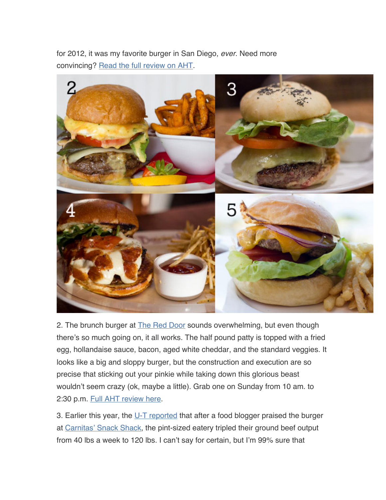for 2012, it was my favorite burger in San Diego, *ever*. Need more convincing? Read the full review on AHT.



2. The brunch burger at The Red Door sounds overwhelming, but even though there's so much going on, it all works. The half pound patty is topped with a fried egg, hollandaise sauce, bacon, aged white cheddar, and the standard veggies. It looks like a big and sloppy burger, but the construction and execution are so precise that sticking out your pinkie while taking down this glorious beast wouldn't seem crazy (ok, maybe a little). Grab one on Sunday from 10 am. to 2:30 p.m. Full AHT review here.

3. Earlier this year, the U-T reported that after a food blogger praised the burger at Carnitas' Snack Shack, the pint-sized eatery tripled their ground beef output from 40 lbs a week to 120 lbs. I can't say for certain, but I'm 99% sure that